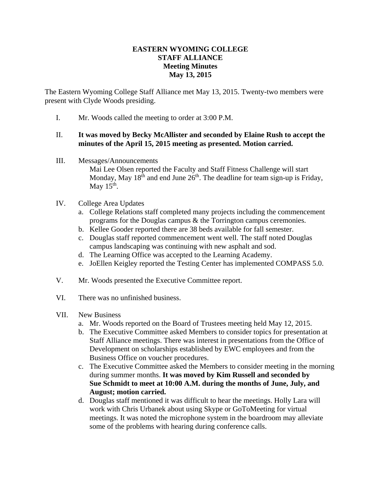## **EASTERN WYOMING COLLEGE STAFF ALLIANCE Meeting Minutes May 13, 2015**

The Eastern Wyoming College Staff Alliance met May 13, 2015. Twenty-two members were present with Clyde Woods presiding.

I. Mr. Woods called the meeting to order at 3:00 P.M.

## II. **It was moved by Becky McAllister and seconded by Elaine Rush to accept the minutes of the April 15, 2015 meeting as presented. Motion carried.**

III. Messages/Announcements

Mai Lee Olsen reported the Faculty and Staff Fitness Challenge will start Monday, May  $18<sup>th</sup>$  and end June  $26<sup>th</sup>$ . The deadline for team sign-up is Friday, May  $15<sup>th</sup>$ .

- IV. College Area Updates
	- a. College Relations staff completed many projects including the commencement programs for the Douglas campus & the Torrington campus ceremonies.
	- b. Kellee Gooder reported there are 38 beds available for fall semester.
	- c. Douglas staff reported commencement went well. The staff noted Douglas campus landscaping was continuing with new asphalt and sod.
	- d. The Learning Office was accepted to the Learning Academy.
	- e. JoEllen Keigley reported the Testing Center has implemented COMPASS 5.0.
- V. Mr. Woods presented the Executive Committee report.
- VI. There was no unfinished business.
- VII. New Business
	- a. Mr. Woods reported on the Board of Trustees meeting held May 12, 2015.
	- b. The Executive Committee asked Members to consider topics for presentation at Staff Alliance meetings. There was interest in presentations from the Office of Development on scholarships established by EWC employees and from the Business Office on voucher procedures.
	- c. The Executive Committee asked the Members to consider meeting in the morning during summer months. **It was moved by Kim Russell and seconded by Sue Schmidt to meet at 10:00 A.M. during the months of June, July, and August; motion carried.**
	- d. Douglas staff mentioned it was difficult to hear the meetings. Holly Lara will work with Chris Urbanek about using Skype or GoToMeeting for virtual meetings. It was noted the microphone system in the boardroom may alleviate some of the problems with hearing during conference calls.